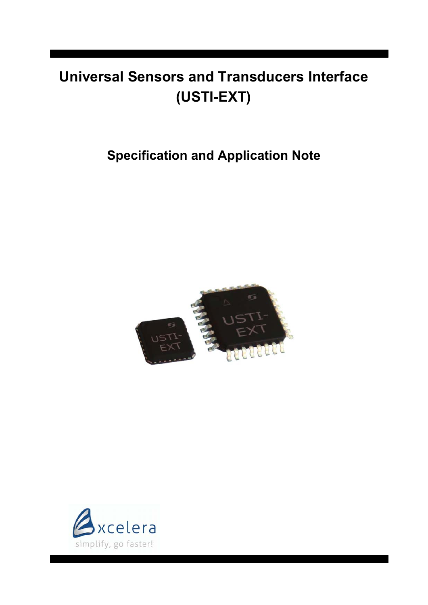# **Universal Sensors and Transducers Interface (USTI-EXT)**

# **Specification and Application Note**



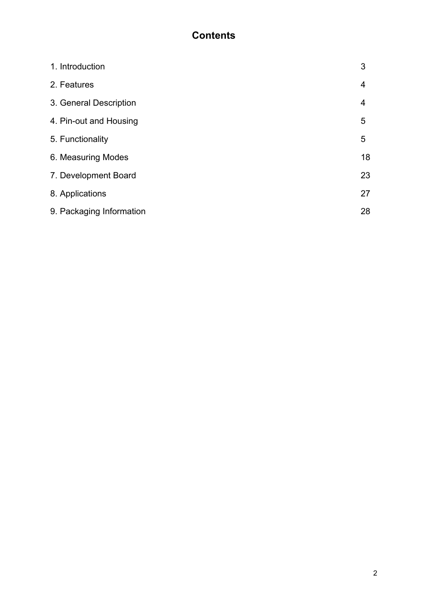# **Contents**

| 1. Introduction          | 3  |
|--------------------------|----|
| 2. Features              | 4  |
| 3. General Description   | 4  |
| 4. Pin-out and Housing   | 5  |
| 5. Functionality         | 5  |
| 6. Measuring Modes       | 18 |
| 7. Development Board     | 23 |
| 8. Applications          | 27 |
| 9. Packaging Information | 28 |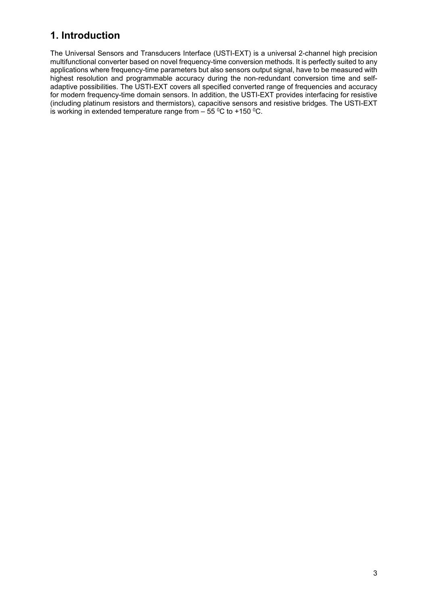# **1. Introduction**

The Universal Sensors and Transducers Interface (USTI-EXT) is a universal 2-channel high precision multifunctional converter based on novel frequency-time conversion methods. It is perfectly suited to any applications where frequency-time parameters but also sensors output signal, have to be measured with highest resolution and programmable accuracy during the non-redundant conversion time and selfadaptive possibilities. The USTI-EXT covers all specified converted range of frequencies and accuracy for modern frequency-time domain sensors. In addition, the USTI-EXT provides interfacing for resistive (including platinum resistors and thermistors), capacitive sensors and resistive bridges. The USTI-EXT is working in extended temperature range from  $-55\,^{\circ}\text{C}$  to +150  $^{\circ}\text{C}$ .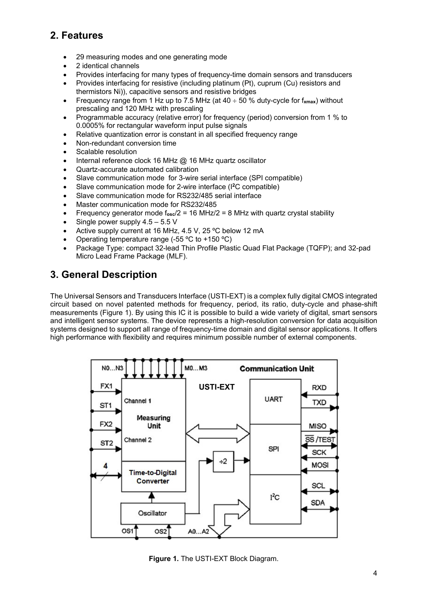# **2. Features**

- 29 measuring modes and one generating mode
- 2 identical channels
- Provides interfacing for many types of frequency-time domain sensors and transducers
- Provides interfacing for resistive (including platinum (Pt), cuprum (Cu) resistors and thermistors Ni)), capacitive sensors and resistive bridges
- Frequency range from 1 Hz up to 7.5 MHz (at  $40 \div 50$  % duty-cycle for  $f_{\text{max}}$ ) without prescaling and 120 MHz with prescaling
- Programmable accuracy (relative error) for frequency (period) conversion from 1 % to 0.0005% for rectangular waveform input pulse signals
- Relative quantization error is constant in all specified frequency range
- Non-redundant conversion time
- Scalable resolution
- Internal reference clock 16 MHz @ 16 MHz quartz oscillator
- Quartz-accurate automated calibration
- Slave communication mode for 3-wire serial interface (SPI compatible)
- Slave communication mode for 2-wire interface (I**<sup>2</sup>**C compatible)
- Slave communication mode for RS232/485 serial interface
- Master communication mode for RS232/485
- Frequency generator mode f**osc**/2 = 16 MHz/2 = 8 MHz with quartz crystal stability
- $\bullet$  Single power supply 4.5 5.5 V
- Active supply current at 16 MHz, 4.5 V, 25 ºC below 12 mA
- Operating temperature range (-55 ºC to +150 ºC)
- Package Type: compact 32-lead Thin Profile Plastic Quad Flat Package (TQFP); and 32-pad Micro Lead Frame Package (MLF).

# **3. General Description**

The Universal Sensors and Transducers Interface (USTI-EXT) is a complex fully digital CMOS integrated circuit based on novel patented methods for frequency, period, its ratio, duty-cycle and phase-shift measurements (Figure 1). By using this IC it is possible to build a wide variety of digital, smart sensors and intelligent sensor systems. The device represents a high-resolution conversion for data acquisition systems designed to support all range of frequency-time domain and digital sensor applications. It offers high performance with flexibility and requires minimum possible number of external components.



**Figure 1.** The USTI-EXT Block Diagram.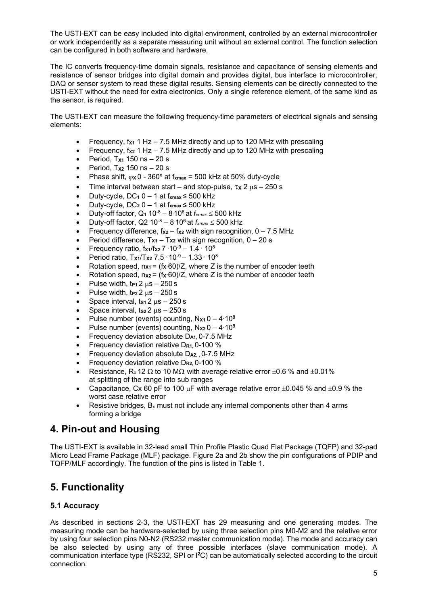The USTI-EXT can be easy included into digital environment, controlled by an external microcontroller or work independently as a separate measuring unit without an external control. The function selection can be configured in both software and hardware.

The IC converts frequency-time domain signals, resistance and capacitance of sensing elements and resistance of sensor bridges into digital domain and provides digital, bus interface to microcontroller, DAQ or sensor system to read these digital results. Sensing elements can be directly connected to the USTI-EXT without the need for extra electronics. Only a single reference element, of the same kind as the sensor, is required.

The USTI-EXT can measure the following frequency-time parameters of electrical signals and sensing elements:

- Frequency, f**X1** 1 Hz 7.5 MHz directly and up to 120 MHz with prescaling
- Frequency, f**X2** 1 Hz 7.5 MHz directly and up to 120 MHz with prescaling
- Period, T**X1** 150 ns 20 s
- Period, T**X2** 150 ns 20 s
- Phase shift,  $\varphi$ x 0 360 $^{\circ}$  at f<sub>xmax</sub> = 500 kHz at 50% duty-cycle
- $\bullet$  Time interval between start and stop-pulse,  $\tau$ <sub>x</sub> 2  $\mu$ s 250 s
- **•** Duty-cycle,  $DC_1 0 1$  at  $f_{xmax} \le 500$  kHz
- Duty-cycle, DC**2** 0 1 at f**xmax** ≤ 500 kHz
- Duty-off factor,  $Q_1$  10<sup>-8</sup> 8.10<sup>6</sup> at  $f_{xmax} \le 500$  kHz
- Duty-off factor, Q2  $10^{-8} 8.10^{6}$  at  $f_{xmax} \le 500$  kHz
- Frequency difference, f**X2** f**X2** with sign recognition, 0 7.5 MHz
- Period difference, T**X1** T**X2** with sign recognition, 0 20 s
- Frequency ratio, f<sub>x1</sub>/f<sub>x2</sub> 7 ·10<sup>-9</sup> 1.4 · 10<sup>8</sup>
- Period ratio, Tx<sub>1</sub>/T<sub>x2</sub> 7.5 · 10<sup>-9</sup> 1.33 · 10<sup>8</sup>
- Rotation speed, n**X1** = (f**X**∙60)/Z, where Z is the number of encoder teeth
- Rotation speed, n**X2** = (f**X**∙60)/Z, where Z is the number of encoder teeth
- Pulse width,  $tr_1 2 \mu s 250 s$
- Pulse width,  $trp_2 2 \mu s 250 s$
- Space interval,  $ts<sub>1</sub> 2 \mu s 250 s$
- Space interval,  $ts_2 2 \mu s 250 s$
- Pulse number (events) counting, N**X1** 0 4∙10**<sup>9</sup>**
- Pulse number (events) counting, N**X2** 0 4∙10**<sup>9</sup>**
- Frequency deviation absolute D**A1,** 0-7.5 MHz
- **Frequency deviation relative D<sub>R1</sub> 0-100 %**
- Frequency deviation absolute D**A2, ,** 0-7.5 MHz
- Frequency deviation relative D**R2,** 0-100 %
- Resistance, R<sub>x</sub> 12  $\Omega$  to 10 M $\Omega$  with average relative error  $\pm 0.6$  % and  $\pm 0.01\%$ at splitting of the range into sub ranges
- Capacitance, Cx 60 pF to 100  $\mu$ F with average relative error  $\pm 0.045$  % and  $\pm 0.9$  % the worst case relative error
- Resistive bridges,  $B_x$  must not include any internal components other than 4 arms forming a bridge

### **4. Pin-out and Housing**

The USTI-EXT is available in 32-lead small Thin Profile Plastic Quad Flat Package (TQFP) and 32-pad Micro Lead Frame Package (MLF) package. Figure 2a and 2b show the pin configurations of PDIP and TQFP/MLF accordingly. The function of the pins is listed in Table 1.

# **5. Functionality**

#### **5.1 Accuracy**

As described in sections 2-3, the USTI-EXT has 29 measuring and one generating modes. The measuring mode can be hardware-selected by using three selection pins M0-M2 and the relative error by using four selection pins N0-N2 (RS232 master communication mode). The mode and accuracy can be also selected by using any of three possible interfaces (slave communication mode). A communication interface type (RS232, SPI or I**<sup>2</sup>**C) can be automatically selected according to the circuit connection.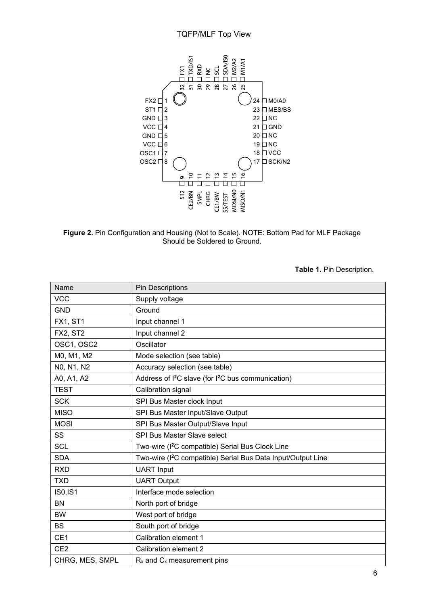#### TQFP/MLF Top View



**Figure 2.** Pin Configuration and Housing (Not to Scale). NOTE: Bottom Pad for MLF Package Should be Soldered to Ground.

**Table 1.** Pin Description.

| Name            | <b>Pin Descriptions</b>                                                    |
|-----------------|----------------------------------------------------------------------------|
| <b>VCC</b>      | Supply voltage                                                             |
| <b>GND</b>      | Ground                                                                     |
| <b>FX1, ST1</b> | Input channel 1                                                            |
| <b>FX2, ST2</b> | Input channel 2                                                            |
| OSC1, OSC2      | Oscillator                                                                 |
| M0, M1, M2      | Mode selection (see table)                                                 |
| NO, N1, N2      | Accuracy selection (see table)                                             |
| A0, A1, A2      | Address of I <sup>2</sup> C slave (for I <sup>2</sup> C bus communication) |
| <b>TEST</b>     | Calibration signal                                                         |
| <b>SCK</b>      | SPI Bus Master clock Input                                                 |
| <b>MISO</b>     | SPI Bus Master Input/Slave Output                                          |
| <b>MOSI</b>     | SPI Bus Master Output/Slave Input                                          |
| <b>SS</b>       | SPI Bus Master Slave select                                                |
| <b>SCL</b>      | Two-wire (I <sup>2</sup> C compatible) Serial Bus Clock Line               |
| <b>SDA</b>      | Two-wire (I <sup>2</sup> C compatible) Serial Bus Data Input/Output Line   |
| <b>RXD</b>      | <b>UART</b> Input                                                          |
| <b>TXD</b>      | <b>UART Output</b>                                                         |
| <b>IS0,IS1</b>  | Interface mode selection                                                   |
| <b>BN</b>       | North port of bridge                                                       |
| <b>BW</b>       | West port of bridge                                                        |
| <b>BS</b>       | South port of bridge                                                       |
| CE1             | Calibration element 1                                                      |
| CE <sub>2</sub> | Calibration element 2                                                      |
| CHRG, MES, SMPL | $R_x$ and $C_x$ measurement pins                                           |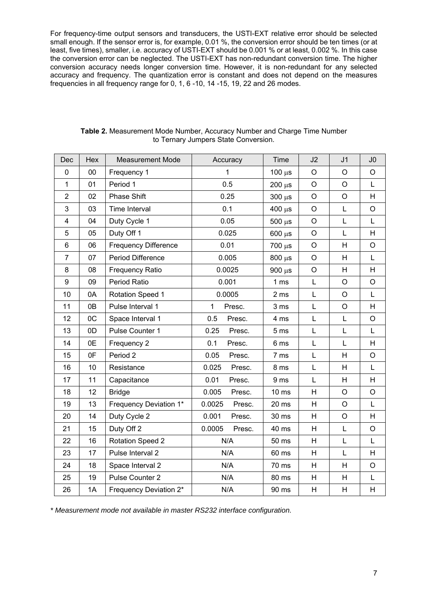For frequency-time output sensors and transducers, the USTI-EXT relative error should be selected small enough. If the sensor error is, for example, 0.01 %, the conversion error should be ten times (or at least, five times), smaller, i.e. accuracy of USTI-EXT should be 0.001 % or at least, 0.002 %. In this case the conversion error can be neglected. The USTI-EXT has non-redundant conversion time. The higher conversion accuracy needs longer conversion time. However, it is non-redundant for any selected accuracy and frequency. The quantization error is constant and does not depend on the measures frequencies in all frequency range for 0, 1, 6 -10, 14 -15, 19, 22 and 26 modes.

| Dec            | Hex            | <b>Measurement Mode</b>     | Accuracy         | Time            | J2           | J <sub>1</sub> | J <sub>0</sub> |
|----------------|----------------|-----------------------------|------------------|-----------------|--------------|----------------|----------------|
| 0              | 00             | 1<br>Frequency 1            |                  | $100 \mu s$     | O            | O              | O              |
| $\mathbf{1}$   | 01             | Period 1                    | 0.5              | $200 \mu s$     | $\circ$      | $\circ$        | L              |
| $\overline{2}$ | 02             | Phase Shift                 | 0.25             | $300 \mu s$     | $\circ$      | $\circ$        | H              |
| 3              | 03             | Time Interval               | 0.1              | $400 \mu s$     | $\circ$      | L              | $\bigcirc$     |
| 4              | 04             | Duty Cycle 1                | 0.05             | $500 \mu s$     | O            | L              | L              |
| 5              | 05             | Duty Off 1                  | 0.025            | $600 \ \mu s$   | $\circ$      | L              | H              |
| 6              | 06             | <b>Frequency Difference</b> | 0.01             | $700 \mu s$     | $\circ$      | H              | $\circ$        |
| $\overline{7}$ | 07             | <b>Period Difference</b>    | 0.005            | $800 \ \mu s$   | $\circ$      | H              | L              |
| 8              | 08             | <b>Frequency Ratio</b>      | 0.0025           | $900 \mu s$     | O            | H              | H              |
| 9              | 09             | Period Ratio                | 0.001            | 1 <sub>ms</sub> | L            | $\circ$        | $\circ$        |
| 10             | 0A             | <b>Rotation Speed 1</b>     | 0.0005           | 2 ms            | L            | $\circ$        | L              |
| 11             | 0B             | Pulse Interval 1            | 1<br>Presc.      | 3 ms            | L            | $\circ$        | H.             |
| 12             | 0C             | Space Interval 1            | 0.5<br>Presc.    | 4 ms            | L            | L              | $\circ$        |
| 13             | 0 <sub>D</sub> | Pulse Counter 1             | 0.25<br>Presc.   | 5 <sub>ms</sub> | $\mathsf{L}$ | L              | L              |
| 14             | 0E             | Frequency 2                 | 0.1<br>Presc.    | 6 ms            | L            | L              | H              |
| 15             | 0F             | Period 2                    | 0.05<br>Presc.   | 7 ms            | L            | H              | O              |
| 16             | 10             | Resistance                  | 0.025<br>Presc.  | 8 ms            | $\mathsf{L}$ | H              | L              |
| 17             | 11             | Capacitance                 | 0.01<br>Presc.   | 9 ms            | L            | H              | H              |
| 18             | 12             | <b>Bridge</b>               | 0.005<br>Presc.  | $10 \text{ ms}$ | H            | $\circ$        | $\circ$        |
| 19             | 13             | Frequency Deviation 1*      | 0.0025<br>Presc. | 20 ms           | H            | $\circ$        | L              |
| 20             | 14             | Duty Cycle 2                | 0.001<br>Presc.  | 30 ms           | H            | $\circ$        | H              |
| 21             | 15             | Duty Off 2                  | 0.0005<br>Presc. | 40 ms           | H            | L              | $\circ$        |
| 22             | 16             | <b>Rotation Speed 2</b>     | N/A              | 50 ms           | Н            | L              | L              |
| 23             | 17             | Pulse Interval 2            | N/A              | 60 ms           | H            | L              | H              |
| 24             | 18             | Space Interval 2            | N/A              | 70 ms           | H            | H              | $\circ$        |
| 25             | 19             | Pulse Counter 2             | N/A              | 80 ms           | Н            | H              | L              |
| 26             | 1A             | Frequency Deviation 2*      | N/A              | 90 ms           | H            | Н              | Н              |

**Table 2.** Measurement Mode Number, Accuracy Number and Charge Time Number to Ternary Jumpers State Conversion.

*\* Measurement mode not available in master RS232 interface configuration.*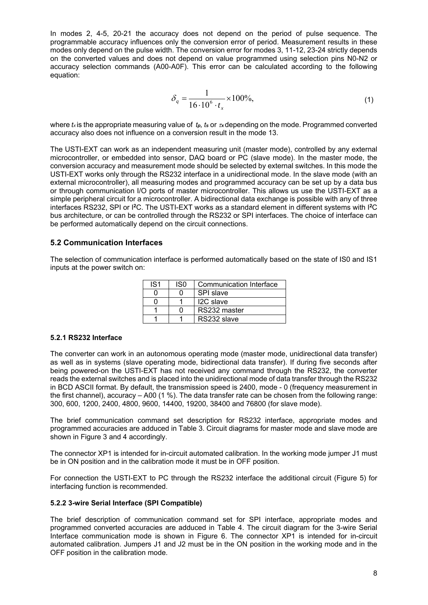In modes 2, 4-5, 20-21 the accuracy does not depend on the period of pulse sequence. The programmable accuracy influences only the conversion error of period. Measurement results in these modes only depend on the pulse width. The conversion error for modes 3, 11-12, 23-24 strictly depends on the converted values and does not depend on value programmed using selection pins N0-N2 or accuracy selection commands (A00-A0F). This error can be calculated according to the following equation:

$$
\delta_q = \frac{1}{16 \cdot 10^6 \cdot t_x} \times 100\%,\tag{1}
$$

where  $k$  is the appropriate measuring value of  $t_p$ ,  $t_s$  or  $\alpha$  depending on the mode. Programmed converted accuracy also does not influence on a conversion result in the mode 13.

The USTI-EXT can work as an independent measuring unit (master mode), controlled by any external microcontroller, or embedded into sensor, DAQ board or PC (slave mode). In the master mode, the conversion accuracy and measurement mode should be selected by external switches. In this mode the USTI-EXT works only through the RS232 interface in a unidirectional mode. In the slave mode (with an external microcontroller), all measuring modes and programmed accuracy can be set up by a data bus or through communication I/O ports of master microcontroller. This allows us use the USTI-EXT as a simple peripheral circuit for a microcontroller. A bidirectional data exchange is possible with any of three interfaces RS232, SPI or I**<sup>2</sup>**C. The USTI-EXT works as a standard element in different systems with I**<sup>2</sup>**C bus architecture, or can be controlled through the RS232 or SPI interfaces. The choice of interface can be performed automatically depend on the circuit connections.

#### **5.2 Communication Interfaces**

The selection of communication interface is performed automatically based on the state of IS0 and IS1 inputs at the power switch on:

| IS <sub>1</sub> | IS <sub>0</sub> | Communication Interface |
|-----------------|-----------------|-------------------------|
|                 |                 | <b>SPI slave</b>        |
|                 |                 | I <sub>2</sub> C slave  |
|                 |                 | RS232 master            |
|                 |                 | RS232 slave             |

#### **5.2.1 RS232 Interface**

The converter can work in an autonomous operating mode (master mode, unidirectional data transfer) as well as in systems (slave operating mode, bidirectional data transfer). If during five seconds after being powered-on the USTI-EXT has not received any command through the RS232, the converter reads the external switches and is placed into the unidirectional mode of data transfer through the RS232 in BCD ASCII format. By default, the transmission speed is 2400, mode - 0 (frequency measurement in the first channel), accuracy – A00 (1 %). The data transfer rate can be chosen from the following range: 300, 600, 1200, 2400, 4800, 9600, 14400, 19200, 38400 and 76800 (for slave mode).

The brief communication command set description for RS232 interface, appropriate modes and programmed accuracies are adduced in Table 3. Circuit diagrams for master mode and slave mode are shown in Figure 3 and 4 accordingly.

The connector XP1 is intended for in-circuit automated calibration. In the working mode jumper J1 must be in ON position and in the calibration mode it must be in OFF position.

For connection the USTI-EXT to PC through the RS232 interface the additional circuit (Figure 5) for interfacing function is recommended.

#### **5.2.2 3-wire Serial Interface (SPI Compatible)**

The brief description of communication command set for SPI interface, appropriate modes and programmed converted accuracies are adduced in Table 4. The circuit diagram for the 3-wire Serial Interface communication mode is shown in Figure 6. The connector XP1 is intended for in-circuit automated calibration. Jumpers J1 and J2 must be in the ON position in the working mode and in the OFF position in the calibration mode.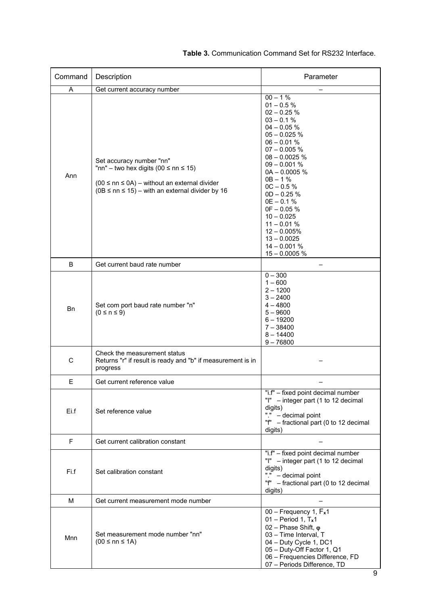| Command   | Description                                                                                                                                                                                   | Parameter                                                                                                                                                                                                                                                                                                                                                                        |  |
|-----------|-----------------------------------------------------------------------------------------------------------------------------------------------------------------------------------------------|----------------------------------------------------------------------------------------------------------------------------------------------------------------------------------------------------------------------------------------------------------------------------------------------------------------------------------------------------------------------------------|--|
| A         | Get current accuracy number                                                                                                                                                                   |                                                                                                                                                                                                                                                                                                                                                                                  |  |
| Ann       | Set accuracy number "nn"<br>"nn" – two hex digits (00 $\leq$ nn $\leq$ 15)<br>$(00 \leq nn \leq 0A)$ – without an external divider<br>$(0B \leq nn \leq 15)$ – with an external divider by 16 | $00 - 1%$<br>$01 - 0.5 \%$<br>$02 - 0.25 %$<br>$03 - 0.1 %$<br>$04 - 0.05 %$<br>$05 - 0.025 %$<br>$06 - 0.01 %$<br>$07 - 0.005 %$<br>$08 - 0.0025 %$<br>$09 - 0.001 %$<br>$0A - 0.0005 %$<br>$OB - 1%$<br>$OC - 0.5 %$<br>$OD - 0.25 %$<br>$0E - 0.1 %$<br>$0F - 0.05 %$<br>$10 - 0.025$<br>$11 - 0.01 %$<br>$12 - 0.005%$<br>$13 - 0.0025$<br>$14 - 0.001 %$<br>$15 - 0.0005$ % |  |
| B         | Get current baud rate number                                                                                                                                                                  |                                                                                                                                                                                                                                                                                                                                                                                  |  |
| <b>Bn</b> | Set com port baud rate number "n"<br>$(0 \le n \le 9)$                                                                                                                                        | $0 - 300$<br>$1 - 600$<br>$2 - 1200$<br>$3 - 2400$<br>$4 - 4800$<br>$5 - 9600$<br>$6 - 19200$<br>$7 - 38400$<br>$8 - 14400$<br>$9 - 76800$                                                                                                                                                                                                                                       |  |
| C         | Check the measurement status<br>Returns "r" if result is ready and "b" if measurement is in<br>progress                                                                                       |                                                                                                                                                                                                                                                                                                                                                                                  |  |
| E         | Get current reference value                                                                                                                                                                   |                                                                                                                                                                                                                                                                                                                                                                                  |  |
| Ei.f      | Set reference value                                                                                                                                                                           | "i.f" - fixed point decimal number<br>"I" - integer part (1 to 12 decimal<br>digits)<br>"." - decimal point<br>"f" - fractional part (0 to 12 decimal<br>digits)                                                                                                                                                                                                                 |  |
| F         | Get current calibration constant                                                                                                                                                              |                                                                                                                                                                                                                                                                                                                                                                                  |  |
| Fi.f      | Set calibration constant                                                                                                                                                                      | "i.f" - fixed point decimal number<br>"I" - integer part (1 to 12 decimal<br>digits)<br>"." - decimal point<br>"f" - fractional part (0 to 12 decimal<br>digits)                                                                                                                                                                                                                 |  |
| M         | Get current measurement mode number                                                                                                                                                           |                                                                                                                                                                                                                                                                                                                                                                                  |  |
| Mnn       | Set measurement mode number "nn"<br>$(00 \leq nn \leq 1A)$                                                                                                                                    | 00 - Frequency 1, Fx1<br>$01 - Period 1, Tx1$<br>02 - Phase Shift, $\varphi$<br>03 - Time Interval, T<br>04 - Duty Cycle 1, DC1<br>05 - Duty-Off Factor 1, Q1<br>06 - Frequencies Difference, FD<br>07 - Periods Difference, TD                                                                                                                                                  |  |

#### **Table 3.** Communication Command Set for RS232 Interface.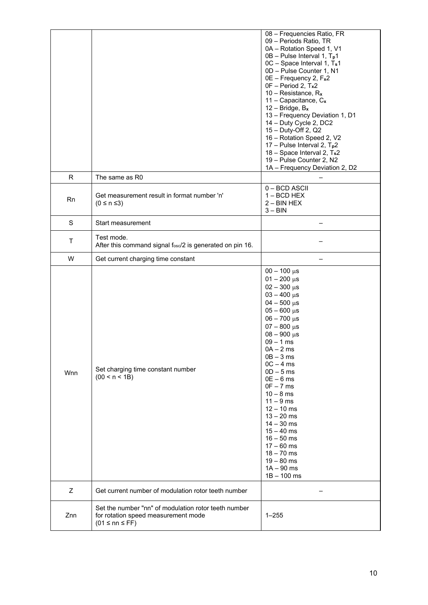|             |                                                                                                                       | 08 - Frequencies Ratio, FR<br>09 - Periods Ratio, TR<br>0A - Rotation Speed 1, V1<br>0B - Pulse Interval 1, T <sub>p</sub> 1<br>0C - Space Interval 1, Ts1<br>0D - Pulse Counter 1, N1<br>0E - Frequency 2, Fx2<br>OF - Period 2, Tx2<br>10 - Resistance, $R_x$<br>11 - Capacitance, $C_x$<br>$12 - Bridge$ , $B_x$<br>13 - Frequency Deviation 1, D1<br>14 - Duty Cycle 2, DC2<br>15 - Duty-Off 2, Q2<br>16 - Rotation Speed 2, V2<br>17 – Pulse Interval 2, $T_p$ 2<br>18 - Space Interval 2, Ts2<br>19 - Pulse Counter 2, N2<br>1A - Frequency Deviation 2, D2 |
|-------------|-----------------------------------------------------------------------------------------------------------------------|-------------------------------------------------------------------------------------------------------------------------------------------------------------------------------------------------------------------------------------------------------------------------------------------------------------------------------------------------------------------------------------------------------------------------------------------------------------------------------------------------------------------------------------------------------------------|
| R           | The same as R0                                                                                                        |                                                                                                                                                                                                                                                                                                                                                                                                                                                                                                                                                                   |
| <b>Rn</b>   | Get measurement result in format number 'n'<br>$(0 \le n \le 3)$                                                      | 0-BCD ASCII<br>$1 - BCD$ HEX<br>$2 - BIN$ HEX<br>$3 - BIN$                                                                                                                                                                                                                                                                                                                                                                                                                                                                                                        |
| $\mathbf S$ | Start measurement                                                                                                     |                                                                                                                                                                                                                                                                                                                                                                                                                                                                                                                                                                   |
| Τ           | Test mode.<br>After this command signal fosc/2 is generated on pin 16.                                                |                                                                                                                                                                                                                                                                                                                                                                                                                                                                                                                                                                   |
| W           | Get current charging time constant                                                                                    |                                                                                                                                                                                                                                                                                                                                                                                                                                                                                                                                                                   |
| Wnn         | Set charging time constant number<br>(00 < n < 1B)                                                                    | $00 - 100 \,\mu s$<br>$01 - 200 \,\mu s$<br>$02 - 300 \,\mu s$<br>$03 - 400 \,\mu s$<br>$04 - 500 \,\mu s$<br>$05 - 600 \,\mu s$<br>$06 - 700 \,\mu s$<br>$07 - 800 \,\mu s$<br>$08 - 900 \,\mu s$<br>$09 - 1$ ms<br>0A – 2 ms<br>$0B - 3ms$<br>$OC - 4 ms$<br>$OD - 5$ ms<br>$0E - 6$ ms<br>$0F - 7$ ms<br>$10 - 8$ ms<br>$11 - 9$ ms<br>$12 - 10$ ms<br>$13 - 20$ ms<br>$14 - 30$ ms<br>$15 - 40$ ms<br>$16 - 50$ ms<br>$17 - 60$ ms<br>$18 - 70$ ms<br>$19 - 80$ ms<br>$1A - 90$ ms<br>$1B - 100$ ms                                                           |
| Z           | Get current number of modulation rotor teeth number                                                                   |                                                                                                                                                                                                                                                                                                                                                                                                                                                                                                                                                                   |
| Znn         | Set the number "nn" of modulation rotor teeth number<br>for rotation speed measurement mode<br>$(01 \leq nn \leq FF)$ | $1 - 255$                                                                                                                                                                                                                                                                                                                                                                                                                                                                                                                                                         |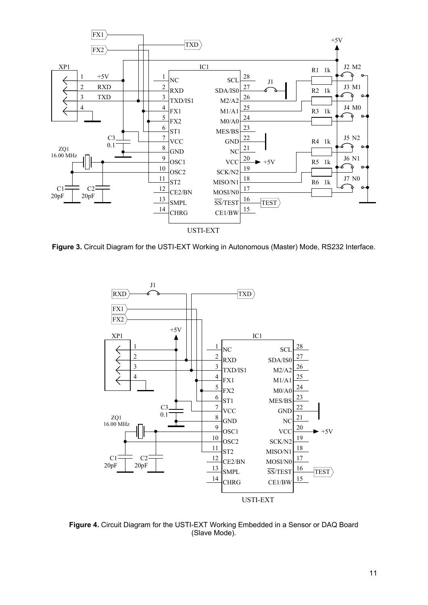

**Figure 3.** Circuit Diagram for the USTI-EXT Working in Autonomous (Master) Mode, RS232 Interface.



**Figure 4.** Circuit Diagram for the USTI-EXT Working Embedded in a Sensor or DAQ Board (Slave Mode).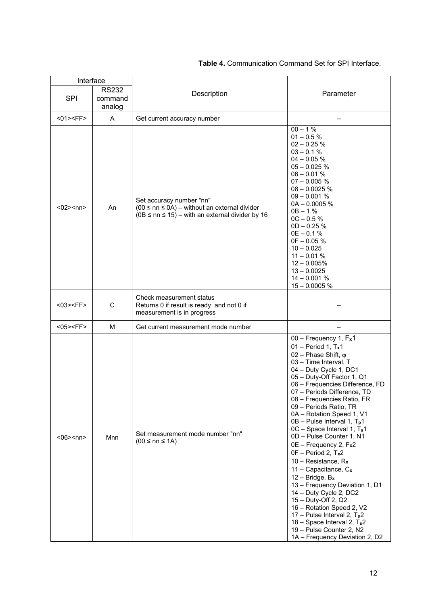| Interface         |                                   |                                                                                                                                             |                                                                                                                                                                                                                                                                                                                                                                                                                                                                                                                                                                                                                                                                                                                                                                                                         |
|-------------------|-----------------------------------|---------------------------------------------------------------------------------------------------------------------------------------------|---------------------------------------------------------------------------------------------------------------------------------------------------------------------------------------------------------------------------------------------------------------------------------------------------------------------------------------------------------------------------------------------------------------------------------------------------------------------------------------------------------------------------------------------------------------------------------------------------------------------------------------------------------------------------------------------------------------------------------------------------------------------------------------------------------|
| <b>SPI</b>        | <b>RS232</b><br>command<br>analog | Description                                                                                                                                 | Parameter                                                                                                                                                                                                                                                                                                                                                                                                                                                                                                                                                                                                                                                                                                                                                                                               |
| $<01><$ FF $>$    | A                                 | Get current accuracy number                                                                                                                 |                                                                                                                                                                                                                                                                                                                                                                                                                                                                                                                                                                                                                                                                                                                                                                                                         |
| $<02>$ <nn></nn>  | An                                | Set accuracy number "nn"<br>$(00 \leq nn \leq 0A)$ – without an external divider<br>$(0B \leq nn \leq 15)$ – with an external divider by 16 | $00 - 1\%$<br>$01 - 0.5 %$<br>$02 - 0.25 %$<br>$03 - 0.1 %$<br>$04 - 0.05 %$<br>$05 - 0.025$ %<br>$06 - 0.01 %$<br>$07 - 0.005 %$<br>$08 - 0.0025$ %<br>$09 - 0.001 %$<br>$0A - 0.0005 %$<br>$0B - 1%$<br>$0C - 0.5%$<br>$OD - 0.25 %$<br>$0E - 0.1 %$<br>$0F - 0.05 %$<br>$10 - 0.025$<br>$11 - 0.01 %$<br>$12 - 0.005%$<br>$13 - 0.0025$<br>$14 - 0.001 %$<br>$15 - 0.0005$ %                                                                                                                                                                                                                                                                                                                                                                                                                         |
| $<$ 03> <ff></ff> | C                                 | Check measurement status<br>Returns 0 if result is ready and not 0 if<br>measurement is in progress                                         |                                                                                                                                                                                                                                                                                                                                                                                                                                                                                                                                                                                                                                                                                                                                                                                                         |
| $<$ 05> <ff></ff> | M                                 | Get current measurement mode number                                                                                                         |                                                                                                                                                                                                                                                                                                                                                                                                                                                                                                                                                                                                                                                                                                                                                                                                         |
| $<06>$ snn>       | Mnn                               | Set measurement mode number "nn"<br>$(00 \leq nn \leq 1A)$                                                                                  | 00 - Frequency 1, Fx1<br>$01 - Period 1, T_x1$<br>02 - Phase Shift, $\varphi$<br>03 - Time Interval, T<br>04 - Duty Cycle 1, DC1<br>05 - Duty-Off Factor 1, Q1<br>06 - Frequencies Difference, FD<br>07 - Periods Difference, TD<br>08 - Frequencies Ratio, FR<br>09 - Periods Ratio, TR<br>0A - Rotation Speed 1, V1<br>$OB - Pulse Interval 1, Tp1$<br>0C - Space Interval 1, T <sub>s</sub> 1<br>0D - Pulse Counter 1, N1<br>0E - Frequency 2, Fx2<br>0F - Period 2, Tx2<br>10 - Resistance, $R_x$<br>11 - Capacitance, $C_x$<br>$12 - Bridge$ , $B_x$<br>13 - Frequency Deviation 1, D1<br>14 - Duty Cycle 2, DC2<br>15 - Duty-Off 2, Q2<br>16 - Rotation Speed 2, V2<br>17 – Pulse Interval 2, $T_p$ 2<br>18 - Space Interval 2, Ts2<br>19 - Pulse Counter 2, N2<br>1A - Frequency Deviation 2, D2 |

#### **Table 4.** Communication Command Set for SPI Interface.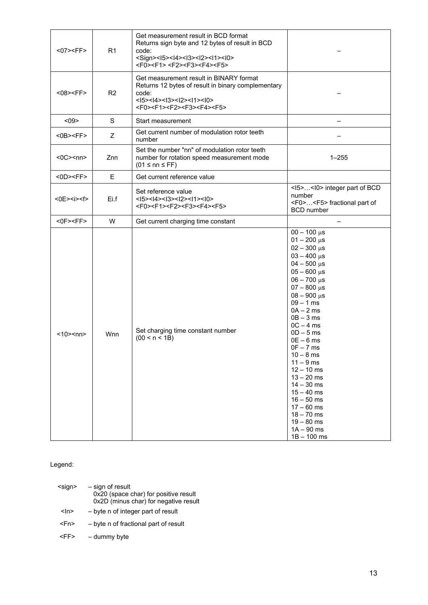| <07> <ff></ff>        | R1             | Get measurement result in BCD format<br>Returns sign byte and 12 bytes of result in BCD<br>code:<br><sign><l5><l4><l3><l2><l1><l0><br/><f0><f1> <f2><f3><f4><f5></f5></f4></f3></f2></f1></f0></l0></l1></l2></l3></l4></l5></sign> |                                                                                                                                                                                                                                                                                                                                                                                                                                                                                                        |
|-----------------------|----------------|-------------------------------------------------------------------------------------------------------------------------------------------------------------------------------------------------------------------------------------|--------------------------------------------------------------------------------------------------------------------------------------------------------------------------------------------------------------------------------------------------------------------------------------------------------------------------------------------------------------------------------------------------------------------------------------------------------------------------------------------------------|
| $<08><$ FF>           | R <sub>2</sub> | Get measurement result in BINARY format<br>Returns 12 bytes of result in binary complementary<br>code:<br>$<$  5>< 4>< 3>< 2>< 1>< 0><br><f0><f1><f2><f3><f4><f5></f5></f4></f3></f2></f1></f0>                                     |                                                                                                                                                                                                                                                                                                                                                                                                                                                                                                        |
| $09$                  | S              | Start measurement                                                                                                                                                                                                                   | $\overline{\phantom{0}}$                                                                                                                                                                                                                                                                                                                                                                                                                                                                               |
| $<$ 0B $>$ $<$ FF $>$ | Z              | Get current number of modulation rotor teeth<br>number                                                                                                                                                                              |                                                                                                                                                                                                                                                                                                                                                                                                                                                                                                        |
| $<$ 0C> $<$ nn>       | Znn            | Set the number "nn" of modulation rotor teeth<br>number for rotation speed measurement mode<br>$(01 \leq nn \leq FF)$                                                                                                               | $1 - 255$                                                                                                                                                                                                                                                                                                                                                                                                                                                                                              |
| $<$ 0D $><$ FF $>$    | E              | Get current reference value                                                                                                                                                                                                         |                                                                                                                                                                                                                                                                                                                                                                                                                                                                                                        |
| <0E> <i><f></f></i>   | Ei.f           | Set reference value<br>$<$  5> $<$  4> $<$  3> $<$  2> $<$  1> $<$  0><br><f0><f1><f2><f3><f4><f5></f5></f4></f3></f2></f1></f0>                                                                                                    | <l5><l0> integer part of BCD<br/>number<br/><f0><f5> fractional part of<br/><b>BCD</b> number</f5></f0></l0></l5>                                                                                                                                                                                                                                                                                                                                                                                      |
| $<$ OF> $<$ FF $>$    | W              | Get current charging time constant                                                                                                                                                                                                  |                                                                                                                                                                                                                                                                                                                                                                                                                                                                                                        |
| <10> <nn></nn>        | Wnn            | Set charging time constant number<br>(00 < n < 1B)                                                                                                                                                                                  | $00 - 100 \mu s$<br>$01 - 200 \,\mu s$<br>$02 - 300 \,\mu s$<br>$03 - 400 \,\mu s$<br>$04 - 500 \,\mu s$<br>$05 - 600 \,\mu s$<br>$06 - 700 \,\mu s$<br>$07 - 800 \,\mu s$<br>$08 - 900 \,\mu s$<br>$09 - 1$ ms<br>$0A - 2ms$<br>$0B - 3ms$<br>$OC - 4 ms$<br>$OD - 5 ms$<br>$0E - 6$ ms<br>$0F - 7$ ms<br>$10 - 8$ ms<br>$11 - 9$ ms<br>$12 - 10$ ms<br>$13 - 20$ ms<br>$14 - 30$ ms<br>$15 - 40$ ms<br>$16 - 50$ ms<br>$17 - 60$ ms<br>$18 - 70$ ms<br>$19 - 80$ ms<br>$1A - 90$ ms<br>$1B - 100$ ms |

Legend:

| <sign></sign> | - sign of result<br>0x20 (space char) for positive result<br>0x2D (minus char) for negative result |
|---------------|----------------------------------------------------------------------------------------------------|
| <ln></ln>     | - byte n of integer part of result                                                                 |
| <fn></fn>     | - byte n of fractional part of result                                                              |
| <⊢F>          | - dummy byte                                                                                       |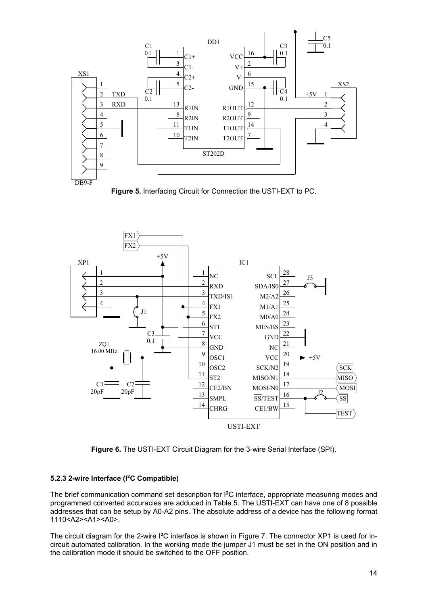

**Figure 5.** Interfacing Circuit for Connection the USTI-EXT to PC.



**Figure 6.** The USTI-EXT Circuit Diagram for the 3-wire Serial Interface (SPI).

#### **5.2.3 2-wire Interface (I2C Compatible)**

The brief communication command set description for I**<sup>2</sup>**C interface, appropriate measuring modes and programmed converted accuracies are adduced in Table 5. The USTI-EXT can have one of 8 possible addresses that can be setup by A0-A2 pins. The absolute address of a device has the following format 1110<A2><A1><A0>.

The circuit diagram for the 2-wire I**2**C interface is shown in Figure 7. The connector XP1 is used for incircuit automated calibration. In the working mode the jumper J1 must be set in the ON position and in the calibration mode it should be switched to the OFF position.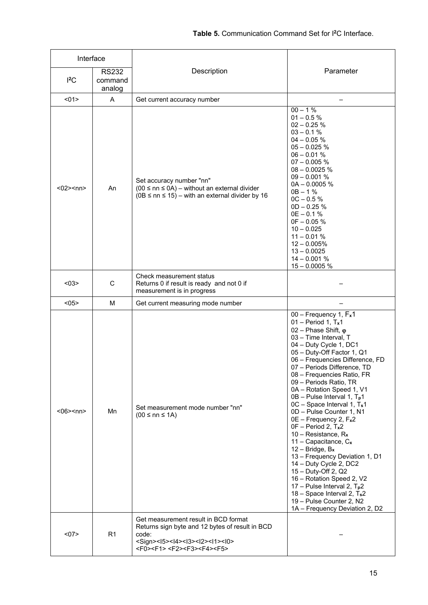| Interface<br><b>RS232</b><br>${}^{12}$ C<br>command |                | Description                                                                                                                                                                                                                         | Parameter                                                                                                                                                                                                                                                                                                                                                                                                                                                                                                                                                                                                                                                                                                                                                                                               |
|-----------------------------------------------------|----------------|-------------------------------------------------------------------------------------------------------------------------------------------------------------------------------------------------------------------------------------|---------------------------------------------------------------------------------------------------------------------------------------------------------------------------------------------------------------------------------------------------------------------------------------------------------------------------------------------------------------------------------------------------------------------------------------------------------------------------------------------------------------------------------------------------------------------------------------------------------------------------------------------------------------------------------------------------------------------------------------------------------------------------------------------------------|
|                                                     | analog         |                                                                                                                                                                                                                                     |                                                                                                                                                                                                                                                                                                                                                                                                                                                                                                                                                                                                                                                                                                                                                                                                         |
| $01$                                                | Α              | Get current accuracy number                                                                                                                                                                                                         |                                                                                                                                                                                                                                                                                                                                                                                                                                                                                                                                                                                                                                                                                                                                                                                                         |
| $<02>$ <nn></nn>                                    | An             | Set accuracy number "nn"<br>$(00 \leq nn \leq 0A)$ – without an external divider<br>$(0B \leq nn \leq 15)$ – with an external divider by 16                                                                                         | $00 - 1%$<br>$01 - 0.5 %$<br>$02 - 0.25 %$<br>$03 - 0.1 %$<br>$04 - 0.05 %$<br>$05 - 0.025$ %<br>$06 - 0.01 %$<br>$07 - 0.005 %$<br>$08 - 0.0025$ %<br>$09 - 0.001 %$<br>$0A - 0.0005$ %<br>$0B - 1%$<br>$0C - 0.5%$<br>$OD - 0.25 %$<br>$0E - 0.1 %$<br>$0F - 0.05 %$<br>$10 - 0.025$<br>$11 - 0.01 %$<br>$12 - 0.005%$<br>$13 - 0.0025$<br>$14 - 0.001 %$<br>$15 - 0.0005$ %                                                                                                                                                                                                                                                                                                                                                                                                                          |
| $03$                                                | С              | Check measurement status<br>Returns 0 if result is ready and not 0 if<br>measurement is in progress                                                                                                                                 |                                                                                                                                                                                                                                                                                                                                                                                                                                                                                                                                                                                                                                                                                                                                                                                                         |
| <05>                                                | M              | Get current measuring mode number                                                                                                                                                                                                   |                                                                                                                                                                                                                                                                                                                                                                                                                                                                                                                                                                                                                                                                                                                                                                                                         |
| $<06>$ snn>                                         | Mn             | Set measurement mode number "nn"<br>$(00 \leq nn \leq 1A)$                                                                                                                                                                          | 00 - Frequency 1, Fx1<br>$01 - Period 1, T_x1$<br>02 - Phase Shift, $\varphi$<br>03 - Time Interval, T<br>04 - Duty Cycle 1, DC1<br>05 - Duty-Off Factor 1, Q1<br>06 - Frequencies Difference, FD<br>07 - Periods Difference, TD<br>08 - Frequencies Ratio, FR<br>09 - Periods Ratio, TR<br>0A - Rotation Speed 1, V1<br>0B - Pulse Interval 1, T <sub>p</sub> 1<br>0C - Space Interval 1, Ts1<br>0D - Pulse Counter 1, N1<br>0E - Frequency 2, Fx2<br>$0F - Period 2, Tx2$<br>10 – Resistance, $R_x$<br>11 – Capacitance, $C_x$<br>$12 - Bridge$ , $B_x$<br>13 - Frequency Deviation 1, D1<br>14 - Duty Cycle 2, DC2<br>15 - Duty-Off 2, Q2<br>16 - Rotation Speed 2, V2<br>17 – Pulse Interval 2, $T_p$ 2<br>18 - Space Interval 2, Ts2<br>19 - Pulse Counter 2, N2<br>1A - Frequency Deviation 2, D2 |
| $07$                                                | R <sub>1</sub> | Get measurement result in BCD format<br>Returns sign byte and 12 bytes of result in BCD<br>code:<br><sign><l5><l4><l3><l2><l1><l0><br/><f0><f1> <f2><f3><f4><f5></f5></f4></f3></f2></f1></f0></l0></l1></l2></l3></l4></l5></sign> |                                                                                                                                                                                                                                                                                                                                                                                                                                                                                                                                                                                                                                                                                                                                                                                                         |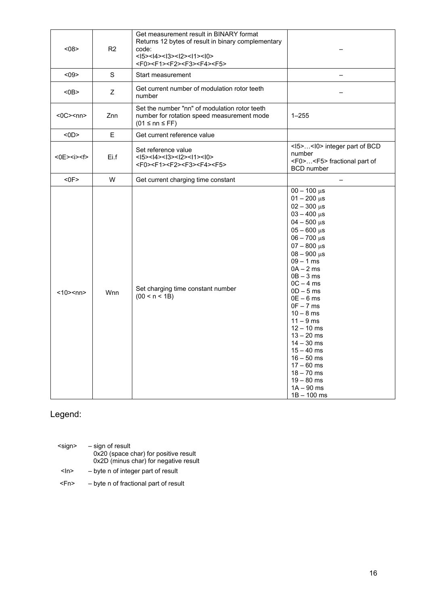| < 08                | R <sub>2</sub> | Get measurement result in BINARY format<br>Returns 12 bytes of result in binary complementary<br>code:<br>$<$  5>< 4>< 3>< 2>< 1>< 0><br><f0><f1><f2><f3><f4><f5></f5></f4></f3></f2></f1></f0> |                                                                                                                                                                                                                                                                                                                                                                                                                                                                                                           |
|---------------------|----------------|-------------------------------------------------------------------------------------------------------------------------------------------------------------------------------------------------|-----------------------------------------------------------------------------------------------------------------------------------------------------------------------------------------------------------------------------------------------------------------------------------------------------------------------------------------------------------------------------------------------------------------------------------------------------------------------------------------------------------|
| < 09                | S              | Start measurement                                                                                                                                                                               |                                                                                                                                                                                                                                                                                                                                                                                                                                                                                                           |
| $0B$                | Z              | Get current number of modulation rotor teeth<br>number                                                                                                                                          |                                                                                                                                                                                                                                                                                                                                                                                                                                                                                                           |
| $<$ 0C> $<$ nn>     | Znn            | Set the number "nn" of modulation rotor teeth<br>number for rotation speed measurement mode<br>$(01 \leq nn \leq FF)$                                                                           | $1 - 255$                                                                                                                                                                                                                                                                                                                                                                                                                                                                                                 |
| $<$ 0D $>$          | E              | Get current reference value                                                                                                                                                                     |                                                                                                                                                                                                                                                                                                                                                                                                                                                                                                           |
| <0E> <i><f></f></i> | Ei.f           | Set reference value<br>$<$  5>< 4>< 3>< 2>< 1>< 0><br><f0><f1><f2><f3><f4><f5></f5></f4></f3></f2></f1></f0>                                                                                    | <l5><l0> integer part of BCD<br/>number<br/><f0><f5> fractional part of<br/><b>BCD</b> number</f5></f0></l0></l5>                                                                                                                                                                                                                                                                                                                                                                                         |
| $<$ OF>             | W              | Get current charging time constant                                                                                                                                                              |                                                                                                                                                                                                                                                                                                                                                                                                                                                                                                           |
| $<10$ > $<$ nn >    | Wnn            | Set charging time constant number<br>(00 < n < 1B)                                                                                                                                              | $00 - 100 \,\mu s$<br>$01 - 200 \,\mu s$<br>$02 - 300 \,\mu s$<br>$03 - 400 \,\mu s$<br>$04 - 500 \,\mu s$<br>$05 - 600 \,\mu s$<br>$06 - 700 \,\mu s$<br>$07 - 800 \,\mu s$<br>$08 - 900 \,\mu s$<br>$09 - 1$ ms<br>$0A - 2ms$<br>$OB - 3 ms$<br>$OC - 4 ms$<br>$OD - 5 ms$<br>$0E - 6$ ms<br>$0F - 7$ ms<br>$10 - 8$ ms<br>$11 - 9$ ms<br>$12 - 10$ ms<br>$13 - 20$ ms<br>$14 - 30$ ms<br>$15 - 40$ ms<br>$16 - 50$ ms<br>$17 - 60$ ms<br>$18 - 70$ ms<br>$19 - 80$ ms<br>$1A - 90$ ms<br>$1B - 100$ ms |

# Legend:

| $<$ sign $>$ | - sign of result<br>0x20 (space char) for positive result<br>0x2D (minus char) for negative result |
|--------------|----------------------------------------------------------------------------------------------------|
| <ln></ln>    | - byte n of integer part of result                                                                 |

<Fn> – byte n of fractional part of result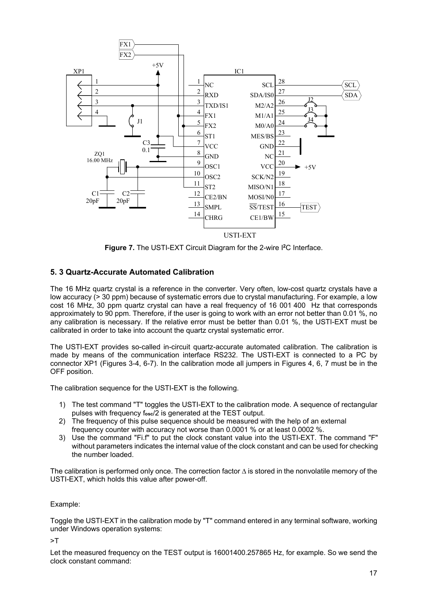

**Figure 7.** The USTI-EXT Circuit Diagram for the 2-wire I**<sup>2</sup>**C Interface.

#### **5. 3 Quartz-Accurate Automated Calibration**

The 16 MHz quartz crystal is a reference in the converter. Very often, low-cost quartz crystals have a low accuracy (> 30 ppm) because of systematic errors due to crystal manufacturing. For example, a low cost 16 MHz, 30 ppm quartz crystal can have a real frequency of 16 001 400 Hz that corresponds approximately to 90 ppm. Therefore, if the user is going to work with an error not better than 0.01 %, no any calibration is necessary. If the relative error must be better than 0.01 %, the USTI-EXT must be calibrated in order to take into account the quartz crystal systematic error.

The USTI-EXT provides so-called in-circuit quartz-accurate automated calibration. The calibration is made by means of the communication interface RS232. The USTI-EXT is connected to a PC by connector XP1 (Figures 3-4, 6-7). In the calibration mode all jumpers in Figures 4, 6, 7 must be in the OFF position.

The calibration sequence for the USTI-EXT is the following.

- 1) The test command "T" toggles the USTI-EXT to the calibration mode. A sequence of rectangular pulses with frequency f**osc**/2 is generated at the TEST output.
- 2) The frequency of this pulse sequence should be measured with the help of an external frequency counter with accuracy not worse than 0.0001 % or at least 0.0002 %.
- 3) Use the command "Fi.f" to put the clock constant value into the USTI-EXT. The command "F" without parameters indicates the internal value of the clock constant and can be used for checking the number loaded.

The calibration is performed only once. The correction factor ∆ is stored in the nonvolatile memory of the USTI-EXT, which holds this value after power-off.

Example:

Toggle the USTI-EXT in the calibration mode by "T" command entered in any terminal software, working under Windows operation systems:

>T

Let the measured frequency on the TEST output is 16001400.257865 Hz, for example. So we send the clock constant command: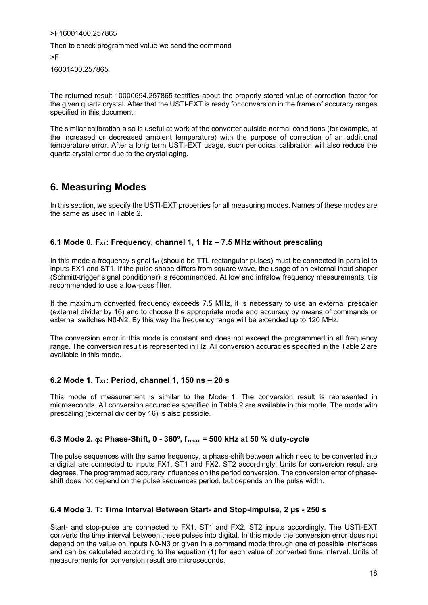>F16001400.257865 Then to check programmed value we send the command >F 16001400.257865

The returned result 10000694.257865 testifies about the properly stored value of correction factor for the given quartz crystal. After that the USTI-EXT is ready for conversion in the frame of accuracy ranges specified in this document.

The similar calibration also is useful at work of the converter outside normal conditions (for example, at the increased or decreased ambient temperature) with the purpose of correction of an additional temperature error. After a long term USTI-EXT usage, such periodical calibration will also reduce the quartz crystal error due to the crystal aging.

### **6. Measuring Modes**

In this section, we specify the USTI-EXT properties for all measuring modes. Names of these modes are the same as used in Table 2.

#### **6.1 Mode 0. FX1: Frequency, channel 1, 1 Hz – 7.5 MHz without prescaling**

In this mode a frequency signal f**x1** (should be TTL rectangular pulses) must be connected in parallel to inputs FX1 and ST1. If the pulse shape differs from square wave, the usage of an external input shaper (Schmitt-trigger signal conditioner) is recommended. At low and infralow frequency measurements it is recommended to use a low-pass filter.

If the maximum converted frequency exceeds 7.5 MHz, it is necessary to use an external prescaler (external divider by 16) and to choose the appropriate mode and accuracy by means of commands or external switches N0-N2. By this way the frequency range will be extended up to 120 MHz.

The conversion error in this mode is constant and does not exceed the programmed in all frequency range. The conversion result is represented in Hz. All conversion accuracies specified in the Table 2 are available in this mode.

#### **6.2 Mode 1. TX1: Period, channel 1, 150 ns – 20 s**

This mode of measurement is similar to the Mode 1. The conversion result is represented in microseconds. All conversion accuracies specified in Table 2 are available in this mode. The mode with prescaling (external divider by 16) is also possible.

#### **6.3 Mode 2. : Phase-Shift, 0 - 360º, fxmax = 500 kHz at 50 % duty-cycle**

The pulse sequences with the same frequency, a phase-shift between which need to be converted into a digital are connected to inputs FX1, ST1 and FX2, ST2 accordingly. Units for conversion result are degrees. The programmed accuracy influences on the period conversion. The conversion error of phaseshift does not depend on the pulse sequences period, but depends on the pulse width.

#### **6.4 Mode 3. T: Time Interval Between Start- and Stop-Impulse, 2 µs - 250 s**

Start- and stop-pulse are connected to FX1, ST1 and FX2, ST2 inputs accordingly. The USTI-EXT converts the time interval between these pulses into digital. In this mode the conversion error does not depend on the value on inputs N0-N3 or given in a command mode through one of possible interfaces and can be calculated according to the equation (1) for each value of converted time interval. Units of measurements for conversion result are microseconds.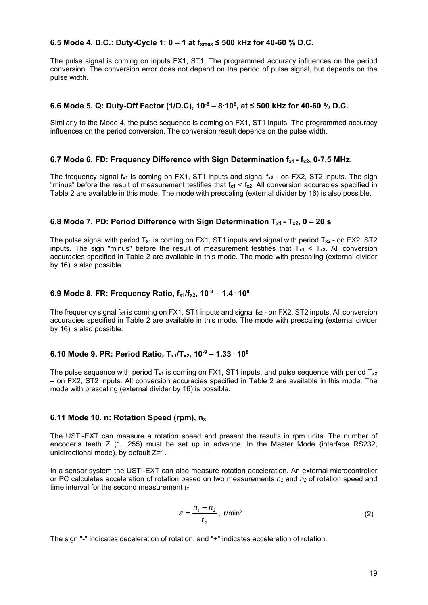#### **6.5 Mode 4. D.C.: Duty-Cycle 1: 0 – 1 at fxmax ≤ 500 kHz for 40-60 % D.C.**

The pulse signal is coming on inputs FX1, ST1. The programmed accuracy influences on the period conversion. The conversion error does not depend on the period of pulse signal, but depends on the pulse width.

#### **6.6 Mode 5. Q: Duty-Off Factor (1/D.C), 10-8 – 8∙106 , at ≤ 500 kHz for 40-60 % D.C.**

Similarly to the Mode 4, the pulse sequence is coming on FX1, ST1 inputs. The programmed accuracy influences on the period conversion. The conversion result depends on the pulse width.

#### **6.7 Mode 6. FD: Frequency Difference with Sign Determination f<sub>x1</sub> - f<sub>x2</sub>, 0-7.5 MHz.**

The frequency signal f**x1** is coming on FX1, ST1 inputs and signal f**x2** - on FX2, ST2 inputs. The sign "minus" before the result of measurement testifies that f**x1** < f**x2**. All conversion accuracies specified in Table 2 are available in this mode. The mode with prescaling (external divider by 16) is also possible.

#### **6.8 Mode 7. PD: Period Difference with Sign Determination**  $T_{x1}$  **-**  $T_{x2}$ **, 0 – 20 s**

The pulse signal with period T**x1** is coming on FX1, ST1 inputs and signal with period T**x2** - on FX2, ST2 inputs. The sign "minus" before the result of measurement testifies that  $T_{x1} < T_{x2}$ . All conversion accuracies specified in Table 2 are available in this mode. The mode with prescaling (external divider by 16) is also possible.

#### **6.9 Mode 8. FR: Frequency Ratio, fx1/fx2, 10-9 – 1.4 . 108**

The frequency signal f**x1** is coming on FX1, ST1 inputs and signal f**x2** - on FX2, ST2 inputs. All conversion accuracies specified in Table 2 are available in this mode. The mode with prescaling (external divider by 16) is also possible.

#### **6.10 Mode 9. PR: Period Ratio, Tx1/Tx2, 10-9 – 1.33 . 108**

The pulse sequence with period T**x1** is coming on FX1, ST1 inputs, and pulse sequence with period T**x2** – on FX2, ST2 inputs. All conversion accuracies specified in Table 2 are available in this mode. The mode with prescaling (external divider by 16) is possible.

#### **6.11 Mode 10. n: Rotation Speed (rpm), nx**

The USTI-EXT can measure a rotation speed and present the results in rpm units. The number of encoder's teeth Z (1…255) must be set up in advance. In the Master Mode (interface RS232, unidirectional mode), by default Z=1.

In a sensor system the USTI-EXT can also measure rotation acceleration. An external microcontroller or PC calculates acceleration of rotation based on two measurements *n1* and *n2* of rotation speed and time interval for the second measurement *t*<sub>2</sub>:

$$
\varepsilon = \frac{n_1 - n_2}{t_2}, \text{ r/min}^2 \tag{2}
$$

The sign "-" indicates deceleration of rotation, and "+" indicates acceleration of rotation.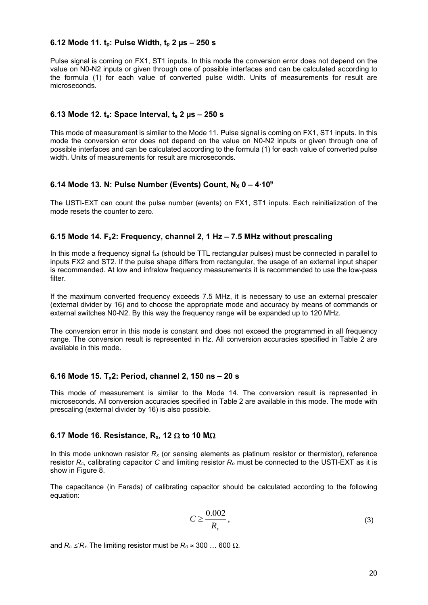#### **6.12 Mode 11. tp: Pulse Width, tp 2 µs – 250 s**

Pulse signal is coming on FX1, ST1 inputs. In this mode the conversion error does not depend on the value on N0-N2 inputs or given through one of possible interfaces and can be calculated according to the formula (1) for each value of converted pulse width. Units of measurements for result are microseconds.

#### **6.13 Mode 12. ts: Space Interval, ts 2 µs – 250 s**

This mode of measurement is similar to the Mode 11. Pulse signal is coming on FX1, ST1 inputs. In this mode the conversion error does not depend on the value on N0-N2 inputs or given through one of possible interfaces and can be calculated according to the formula (1) for each value of converted pulse width. Units of measurements for result are microseconds.

# **6.14 Mode 13. N: Pulse Number (Events) Count, N<sub>x</sub> 0 – 4∙10<sup>9</sup>**

The USTI-EXT can count the pulse number (events) on FX1, ST1 inputs. Each reinitialization of the mode resets the counter to zero.

#### **6.15 Mode 14. Fx2: Frequency, channel 2, 1 Hz – 7.5 MHz without prescaling**

In this mode a frequency signal f**x2** (should be TTL rectangular pulses) must be connected in parallel to inputs FX2 and ST2. If the pulse shape differs from rectangular, the usage of an external input shaper is recommended. At low and infralow frequency measurements it is recommended to use the low-pass filter.

If the maximum converted frequency exceeds 7.5 MHz, it is necessary to use an external prescaler (external divider by 16) and to choose the appropriate mode and accuracy by means of commands or external switches N0-N2. By this way the frequency range will be expanded up to 120 MHz.

The conversion error in this mode is constant and does not exceed the programmed in all frequency range. The conversion result is represented in Hz. All conversion accuracies specified in Table 2 are available in this mode.

#### **6.16 Mode 15. Tx2: Period, channel 2, 150 ns – 20 s**

This mode of measurement is similar to the Mode 14. The conversion result is represented in microseconds. All conversion accuracies specified in Table 2 are available in this mode. The mode with prescaling (external divider by 16) is also possible.

#### 6.17 Mode 16. Resistance, R<sub>x</sub>, 12  $\Omega$  to 10 M $\Omega$

In this mode unknown resistor *Rx* (or sensing elements as platinum resistor or thermistor), reference resistor *Rc*, calibrating capacitor *C* and limiting resistor *Ro* must be connected to the USTI-EXT as it is show in Figure 8.

The capacitance (in Farads) of calibrating capacitor should be calculated according to the following equation:

$$
C \ge \frac{0.002}{R_c},\tag{3}
$$

and  $R_c \le R_x$ . The limiting resistor must be  $R_0 \approx 300$  ... 600  $\Omega$ .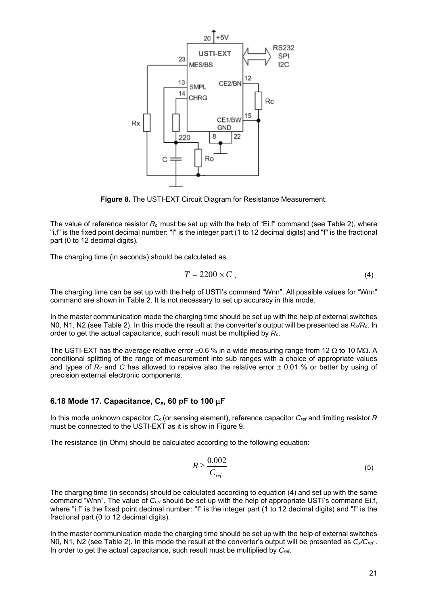

**Figure 8.** The USTI-EXT Circuit Diagram for Resistance Measurement.

The value of reference resistor *Rc* must be set up with the help of "Ei.f" command (see Table 2), where "i.f" is the fixed point decimal number: "I" is the integer part (1 to 12 decimal digits) and "f" is the fractional part (0 to 12 decimal digits).

The charging time (in seconds) should be calculated as

$$
T = 2200 \times C \tag{4}
$$

The charging time can be set up with the help of USTI's command "Wnn". All possible values for "Wnn" command are shown in Table 2. It is not necessary to set up accuracy in this mode.

In the master communication mode the charging time should be set up with the help of external switches N0, N1, N2 (see Table 2). In this mode the result at the converter's output will be presented as *Rx/Rc*. In order to get the actual capacitance, such result must be multiplied by *Rc*.

The USTI-EXT has the average relative error  $\pm 0.6$  % in a wide measuring range from 12  $\Omega$  to 10 M $\Omega$ . A conditional splitting of the range of measurement into sub ranges with a choice of appropriate values and types of *Rc* and *C* has allowed to receive also the relative error ± 0.01 % or better by using of precision external electronic components.

#### 6.18 Mode 17. Capacitance,  $C_x$ , 60 pF to 100  $\mu$ F

In this mode unknown capacitor *Cx* (or sensing element), reference capacitor *Cref* and limiting resistor *R*  must be connected to the USTI-EXT as it is show in Figure 9.

The resistance (in Ohm) should be calculated according to the following equation:

$$
R \ge \frac{0.002}{C_{ref}}\tag{5}
$$

The charging time (in seconds) should be calculated according to equation (4) and set up with the same command "Wnn". The value of *Cref* should be set up with the help of appropriate USTI's command Ei.f, where "i.f" is the fixed point decimal number: "I" is the integer part (1 to 12 decimal digits) and "f" is the fractional part (0 to 12 decimal digits).

In the master communication mode the charging time should be set up with the help of external switches N0, N1, N2 (see Table 2). In this mode the result at the converter's output will be presented as *Cx/Cref* . In order to get the actual capacitance, such result must be multiplied by *Cref*.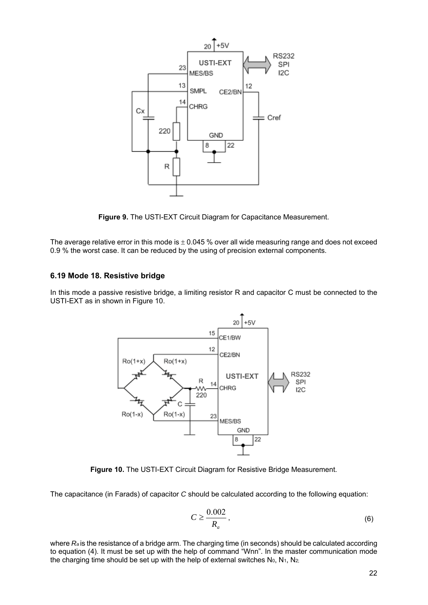

**Figure 9.** The USTI-EXT Circuit Diagram for Capacitance Measurement.

The average relative error in this mode is  $\pm$  0.045 % over all wide measuring range and does not exceed 0.9 % the worst case. It can be reduced by the using of precision external components.

#### **6.19 Mode 18. Resistive bridge**

In this mode a passive resistive bridge, a limiting resistor R and capacitor C must be connected to the USTI-EXT as in shown in Figure 10.



**Figure 10.** The USTI-EXT Circuit Diagram for Resistive Bridge Measurement.

The capacitance (in Farads) of capacitor *C* should be calculated according to the following equation:

$$
C \ge \frac{0.002}{R_a},\tag{6}
$$

where  $R_a$  is the resistance of a bridge arm. The charging time (in seconds) should be calculated according to equation (4). It must be set up with the help of command "Wnn". In the master communication mode the charging time should be set up with the help of external switches  $N_0$ ,  $N_1$ ,  $N_{2}$ ;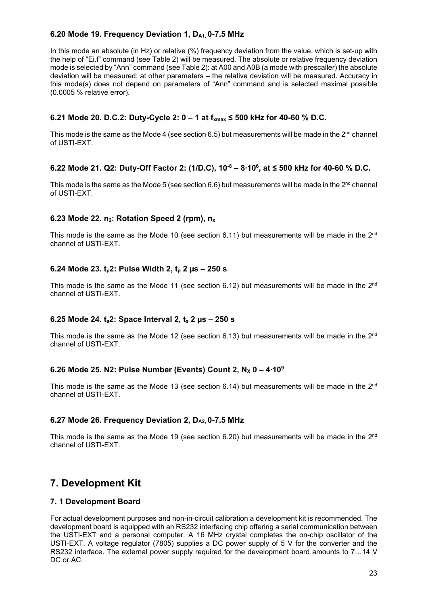#### 6.20 Mode 19. Frequency Deviation 1, D<sub>A1,</sub> 0-7.5 MHz

In this mode an absolute (in Hz) or relative (%) frequency deviation from the value, which is set-up with the help of "Ei.f" command (see Table 2) will be measured. The absolute or relative frequency deviation mode is selected by "Ann" command (see Table 2): at A00 and A0B (a mode with prescaller) the absolute deviation will be measured; at other parameters – the relative deviation will be measured. Accuracy in this mode(s) does not depend on parameters of "Ann" command and is selected maximal possible (0.0005 % relative error).

#### **6.21 Mode 20. D.C.2: Duty-Cycle 2: 0 – 1 at**  $f_{\text{max}} \le 500$  **kHz for 40-60 % D.C.**

This mode is the same as the Mode 4 (see section 6.5) but measurements will be made in the  $2<sup>nd</sup>$  channel of USTI-EXT.

#### **6.22 Mode 21. Q2: Duty-Off Factor 2: (1/D.C), 10-8 – 8∙106 , at ≤ 500 kHz for 40-60 % D.C.**

This mode is the same as the Mode 5 (see section 6.6) but measurements will be made in the  $2^{nd}$  channel of USTI-EXT.

#### **6.23 Mode 22. n<sub>2</sub>: Rotation Speed 2 (rpm), n<sub>x</sub>**

This mode is the same as the Mode 10 (see section 6.11) but measurements will be made in the  $2^{nd}$ channel of USTI-EXT.

#### **6.24 Mode 23. tp2: Pulse Width 2, tp 2 µs – 250 s**

This mode is the same as the Mode 11 (see section 6.12) but measurements will be made in the  $2^{nd}$ channel of USTI-EXT.

#### **6.25 Mode 24. ts2: Space Interval 2, ts 2 µs – 250 s**

This mode is the same as the Mode 12 (see section 6.13) but measurements will be made in the  $2^{nd}$ channel of USTI-EXT.

#### **6.26 Mode 25. N2: Pulse Number (Events) Count 2, N<sub>x</sub> 0 – 4⋅10<sup>9</sup>**

This mode is the same as the Mode 13 (see section 6.14) but measurements will be made in the  $2<sup>nd</sup>$ channel of USTI-EXT.

#### 6.27 Mode 26. Frequency Deviation 2, D<sub>A2</sub>, 0-7.5 MHz

This mode is the same as the Mode 19 (see section 6.20) but measurements will be made in the  $2<sup>nd</sup>$ channel of USTI-EXT.

# **7. Development Kit**

#### **7. 1 Development Board**

For actual development purposes and non-in-circuit calibration a development kit is recommended. The development board is equipped with an RS232 interfacing chip offering a serial communication between the USTI-EXT and a personal computer. A 16 MHz crystal completes the on-chip oscillator of the USTI-EXT. A voltage regulator (7805) supplies a DC power supply of 5 V for the converter and the RS232 interface. The external power supply required for the development board amounts to 7…14 V DC or AC.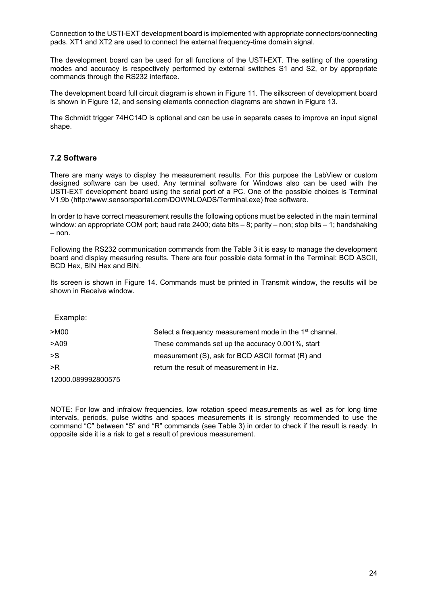Connection to the USTI-EXT development board is implemented with appropriate connectors/connecting pads. XT1 and XT2 are used to connect the external frequency-time domain signal.

The development board can be used for all functions of the USTI-EXT. The setting of the operating modes and accuracy is respectively performed by external switches S1 and S2, or by appropriate commands through the RS232 interface.

The development board full circuit diagram is shown in Figure 11. The silkscreen of development board is shown in Figure 12, and sensing elements connection diagrams are shown in Figure 13.

The Schmidt trigger 74HC14D is optional and can be use in separate cases to improve an input signal shape.

#### **7.2 Software**

There are many ways to display the measurement results. For this purpose the LabView or custom designed software can be used. Any terminal software for Windows also can be used with the USTI-EXT development board using the serial port of a PC. One of the possible choices is Terminal V1.9b (http://www.sensorsportal.com/DOWNLOADS/Terminal.exe) free software.

In order to have correct measurement results the following options must be selected in the main terminal window: an appropriate COM port; baud rate 2400; data bits – 8; parity – non; stop bits – 1; handshaking – non.

Following the RS232 communication commands from the Table 3 it is easy to manage the development board and display measuring results. There are four possible data format in the Terminal: BCD ASCII, BCD Hex, BIN Hex and BIN.

Its screen is shown in Figure 14. Commands must be printed in Transmit window, the results will be shown in Receive window.

Example: >M00 Select a frequency measurement mode in the 1st channel. >A09 These commands set up the accuracy 0.001%, start >S measurement (S), ask for BCD ASCII format (R) and >R return the result of measurement in Hz. 12000.089992800575

NOTE: For low and infralow frequencies, low rotation speed measurements as well as for long time intervals, periods, pulse widths and spaces measurements it is strongly recommended to use the command "C" between "S" and "R" commands (see Table 3) in order to check if the result is ready. In opposite side it is a risk to get a result of previous measurement.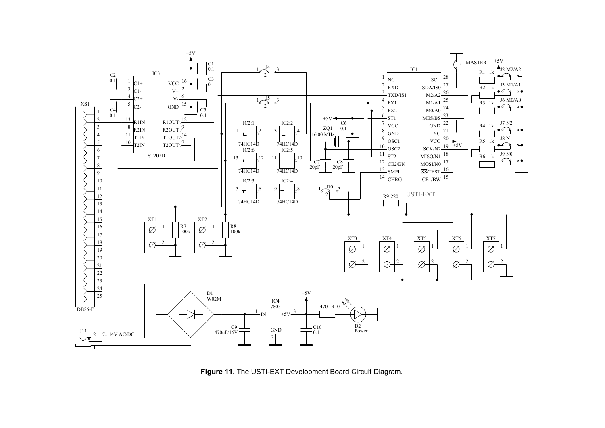

**Figure 11.** The USTI-EXT Development Board Circuit Diagram.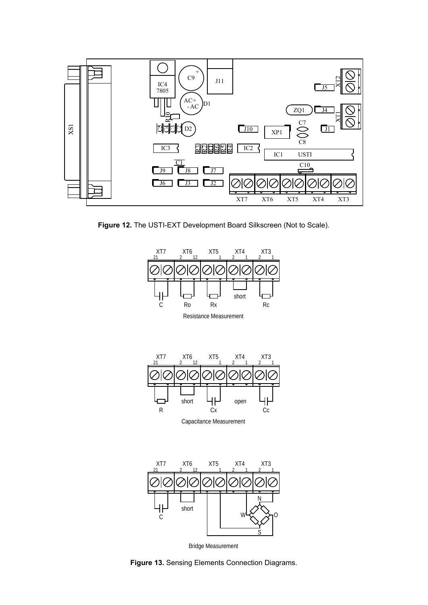

**Figure 12.** The USTI-EXT Development Board Silkscreen (Not to Scale).





Capacitance Measurement



Bridge Measurement

**Figure 13.** Sensing Elements Connection Diagrams.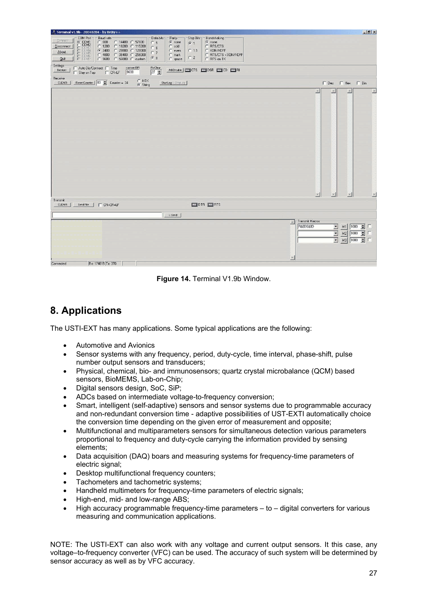| F Terminal v1.9b - 20040204 - by Br@y++                                                                                                                                                                                                                  |                                                                                                                                                                                                                                                                                          | $-15$ $\times$                                                                                                                                                                           |
|----------------------------------------------------------------------------------------------------------------------------------------------------------------------------------------------------------------------------------------------------------|------------------------------------------------------------------------------------------------------------------------------------------------------------------------------------------------------------------------------------------------------------------------------------------|------------------------------------------------------------------------------------------------------------------------------------------------------------------------------------------|
| COM Port<br>Baud rate<br>Connect<br>$\frac{\text{COM1}}{\text{COM3}}$<br>$\cap$ 600<br>○ 14400 ○ 57600<br>€ 1200 € 19200 € 115200<br>Disconnect<br>$C$ 2400 $C$ 28800 $C$ 128000<br>About.<br>○ 4800 ○ 38400 ○ 256000<br>Quit<br>C 9600 C 56000 C custom | Handshaking<br>Data bits<br>Parity<br>Stop Bits<br>$\epsilon$ none<br>$\epsilon$ none<br>C <sub>5</sub><br>61<br>C RTS/CTS<br>$C$ odd<br>$C_6$<br>C XON/XOFF<br>$C$ 1.5<br>$C$ even<br>$C$ 7<br>C RTS/CTS + XON/XOFF<br>$C$ mark<br>C <sub>2</sub><br>G.8<br>C RTS on TX<br>$\cap$ space |                                                                                                                                                                                          |
| Settings<br>custom BR<br>□ Auto Dis/Connect □ Time<br>Set font<br>9600<br>$\Gamma$ CR=LF<br>Stay on Top                                                                                                                                                  | $\begin{array}{ l } \hline \text{Rx Clear} \\ \hline 27 & \color{red}\bigoplus \end{array}$<br>ASCItable   CICTS   CIDSR   CIO   CIRI                                                                                                                                                    |                                                                                                                                                                                          |
| Receive<br>$C$ HEX<br>$G$ String<br>Reset Counter   83 Counter = 34<br><b>CLEAR</b>                                                                                                                                                                      | StartLog StopLog                                                                                                                                                                                                                                                                         |                                                                                                                                                                                          |
|                                                                                                                                                                                                                                                          |                                                                                                                                                                                                                                                                                          | $\Box$ Dec $\Box$ Hex $\Box$ Bin<br>$\Delta$<br>×<br><b>La</b>                                                                                                                           |
|                                                                                                                                                                                                                                                          |                                                                                                                                                                                                                                                                                          | $\vert \mathbf{v} \vert$<br>$\overline{\phantom{a}}$<br>$\mathbf{v}$<br>$\mathbf{v}$                                                                                                     |
| Transmit<br><b>CLEAR</b><br>$\Gamma$ CR=CR+LF<br>Send File                                                                                                                                                                                               | $D$ IDIR $D$ RIS                                                                                                                                                                                                                                                                         |                                                                                                                                                                                          |
|                                                                                                                                                                                                                                                          |                                                                                                                                                                                                                                                                                          |                                                                                                                                                                                          |
|                                                                                                                                                                                                                                                          | $\rightarrow$ Send                                                                                                                                                                                                                                                                       | Transmit Macros                                                                                                                                                                          |
|                                                                                                                                                                                                                                                          |                                                                                                                                                                                                                                                                                          | R<br>R\$0DS\$0D<br>$\overline{\phantom{a}}$<br>$M1$ 1000 $\div$ $\Box$<br>$\overline{z}$<br>$1000 - $<br>$\Gamma$<br>M2<br>$\overline{\phantom{a}}$<br>1000<br>$\blacksquare$<br>E<br>M3 |
| Rx 174815 Tx 370<br>Connected                                                                                                                                                                                                                            |                                                                                                                                                                                                                                                                                          |                                                                                                                                                                                          |

**Figure 14.** Terminal V1.9b Window.

# **8. Applications**

The USTI-EXT has many applications. Some typical applications are the following:

- Automotive and Avionics
- Sensor systems with any frequency, period, duty-cycle, time interval, phase-shift, pulse number output sensors and transducers;
- Physical, chemical, bio- and immunosensors; quartz crystal microbalance (QCM) based sensors, BioMEMS, Lab-on-Chip;
- Digital sensors design, SoC, SiP;
- ADCs based on intermediate voltage-to-frequency conversion;
- Smart, intelligent (self-adaptive) sensors and sensor systems due to programmable accuracy and non-redundant conversion time - adaptive possibilities of UST-EXTI automatically choice the conversion time depending on the given error of measurement and opposite;
- Multifunctional and multiparameters sensors for simultaneous detection various parameters proportional to frequency and duty-cycle carrying the information provided by sensing elements;
- Data acquisition (DAQ) boars and measuring systems for frequency-time parameters of electric signal;
- Desktop multifunctional frequency counters;
- Tachometers and tachometric systems;
- Handheld multimeters for frequency-time parameters of electric signals;
- High-end, mid- and low-range ABS;
- High accuracy programmable frequency-time parameters to digital converters for various measuring and communication applications.

NOTE: The USTI-EXT can also work with any voltage and current output sensors. It this case, any voltage–to-frequency converter (VFC) can be used. The accuracy of such system will be determined by sensor accuracy as well as by VFC accuracy.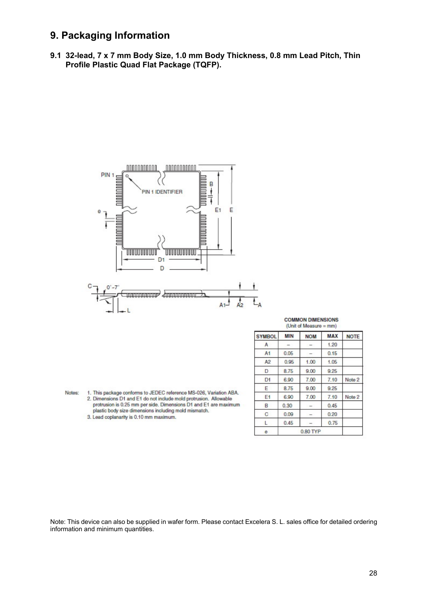### **9. Packaging Information**

**9.1 32-lead, 7 x 7 mm Body Size, 1.0 mm Body Thickness, 0.8 mm Lead Pitch, Thin Profile Plastic Quad Flat Package (TQFP).** 



| <b>COMMON DIMENSIONS</b> |  |
|--------------------------|--|
| (Unit of Measure $=$ mm) |  |

| <b>SYMBOL</b>  | <b>MIN</b> | <b>NOM</b>                   | <b>MAX</b> | <b>NOTE</b> |  |  |
|----------------|------------|------------------------------|------------|-------------|--|--|
| A              |            |                              | 1.20       |             |  |  |
| A <sub>1</sub> | 0.05       |                              | 0.15       |             |  |  |
| A <sub>2</sub> | 0.95       | 1.00                         | 1.05       |             |  |  |
| D              | 8.75       | 9.00                         | 9.25       |             |  |  |
| D <sup>1</sup> | 6.90       | 7.00                         | 7.10       | Note 2      |  |  |
| Е              | 8.75       | 9.00                         | 9.25       |             |  |  |
| E1             | 6.90       | 7.00                         | 7.10       | Note 2      |  |  |
| B              | 0.30       | $\qquad \qquad \blacksquare$ | 0.45       |             |  |  |
| C              | 0.09       | $\overline{\phantom{a}}$     | 0.20       |             |  |  |
| L              | 0.45       |                              | 0.75       |             |  |  |
| θ              | 0.80 TYP   |                              |            |             |  |  |

Notes: 1. This package conforms to JEDEC reference MS-026, Variation ABA. 2. Dimensions D1 and E1 do not include mold protrusion. Allowable protrusion is 0.25 mm per side. Dimensions D1 and E1 are maximum plastic body size dimensions including mold mismatch.

3. Lead coplanarity is 0.10 mm maximum.

Note: This device can also be supplied in wafer form. Please contact Excelera S. L. sales office for detailed ordering information and minimum quantities.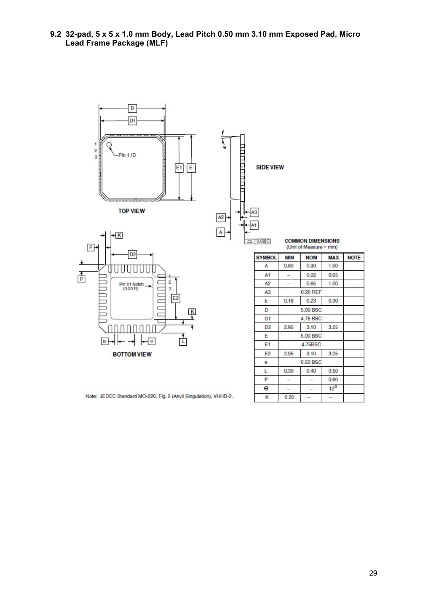**9.2 32-pad, 5 x 5 x 1.0 mm Body, Lead Pitch 0.50 mm 3.10 mm Exposed Pad, Micro Lead Frame Package (MLF)** 



 $E2$ 

 $\pmb{\Theta}$ 

L P

 $\theta$ 

 $\kappa$ 

2.95

 $0.30$ 

 $\overline{\phantom{0}}$ 

 $\overline{\phantom{a}}$ 

 $0.20$ 

 $3.10$ 

0.50 BSC

 $0.40$ 

 $\qquad \qquad -$ 

 $\mathord{\mathord{\text{--}}}$ 

÷,

3.25

0.50

0.60

 $12^{\circ}$ 

÷,

**BOTTOM VIEW** 

Note: JEDEC Standard MO-220, Fig. 2 (Anvil Singulation), VHHD-2.

| ۰.<br>. . |         |
|-----------|---------|
|           | ٦<br>۰, |